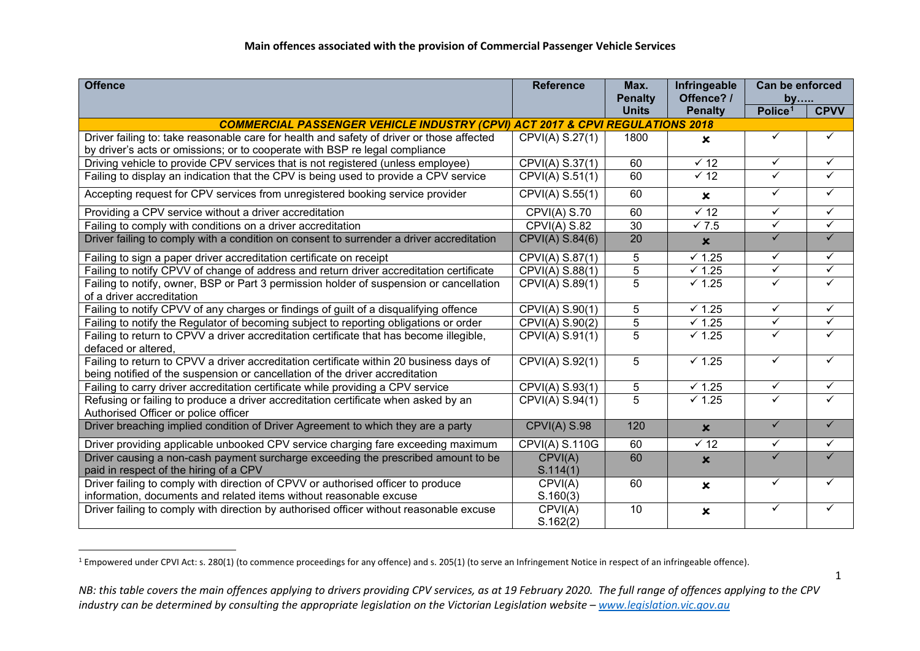<span id="page-0-0"></span>

| <b>Offence</b>                                                                            | <b>Reference</b>      | Max.                           | Infringeable              | Can be enforced     |              |
|-------------------------------------------------------------------------------------------|-----------------------|--------------------------------|---------------------------|---------------------|--------------|
|                                                                                           |                       | <b>Penalty</b><br><b>Units</b> | Offence? /                | by                  | <b>CPVV</b>  |
| <b>COMMERCIAL PASSENGER VEHICLE INDUSTRY (CPVI) ACT 2017 &amp; CPVI REGULATIONS 2018</b>  |                       |                                | <b>Penalty</b>            | Police <sup>1</sup> |              |
| Driver failing to: take reasonable care for health and safety of driver or those affected | CPVI(A) S.27(1)       | 1800                           |                           | ✓                   | ✓            |
| by driver's acts or omissions; or to cooperate with BSP re legal compliance               |                       |                                | $\mathbf x$               |                     |              |
| Driving vehicle to provide CPV services that is not registered (unless employee)          | CPVI(A) S.37(1)       | 60                             | $\times$ 12               | ✓                   | ✓            |
| Failing to display an indication that the CPV is being used to provide a CPV service      | CPVI(A) S.51(1)       | 60                             | $\times$ 12               | $\checkmark$        | ✓            |
|                                                                                           |                       |                                |                           | ✓                   | ✓            |
| Accepting request for CPV services from unregistered booking service provider             | CPVI(A) S.55(1)       | 60                             | $\mathbf x$               |                     |              |
| Providing a CPV service without a driver accreditation                                    | CPVI(A) S.70          | 60                             | $\sqrt{12}$               | $\checkmark$        | ✓            |
| Failing to comply with conditions on a driver accreditation                               | CPVI(A) S.82          | 30                             | $\sqrt{7.5}$              | $\checkmark$        | $\checkmark$ |
| Driver failing to comply with a condition on consent to surrender a driver accreditation  | CPVI(A) S.84(6)       | 20                             | $\boldsymbol{\mathsf{x}}$ | $\checkmark$        | $\checkmark$ |
| Failing to sign a paper driver accreditation certificate on receipt                       | CPVI(A) S.87(1)       | 5                              | $\times$ 1.25             | $\checkmark$        | $\checkmark$ |
| Failing to notify CPVV of change of address and return driver accreditation certificate   | CPVI(A) S.88(1)       | 5                              | $\times$ 1.25             | $\checkmark$        | $\checkmark$ |
| Failing to notify, owner, BSP or Part 3 permission holder of suspension or cancellation   | CPVI(A) S.89(1)       | $\overline{5}$                 | $\times$ 1.25             | $\checkmark$        | ✓            |
| of a driver accreditation                                                                 |                       |                                |                           |                     |              |
| Failing to notify CPVV of any charges or findings of guilt of a disqualifying offence     | CPVI(A) S.90(1)       | 5                              | $\times$ 1.25             | $\checkmark$        | $\checkmark$ |
| Failing to notify the Regulator of becoming subject to reporting obligations or order     | CPVI(A) S.90(2)       | $\overline{5}$                 | $\sqrt{1.25}$             | $\checkmark$        | $\checkmark$ |
| Failing to return to CPVV a driver accreditation certificate that has become illegible,   | CPVI(A) S.91(1)       | 5                              | $\times$ 1.25             | ✓                   | ✓            |
| defaced or altered,                                                                       |                       |                                |                           |                     |              |
| Failing to return to CPVV a driver accreditation certificate within 20 business days of   | CPVI(A) S.92(1)       | 5                              | $\times$ 1.25             | $\checkmark$        | ✓            |
| being notified of the suspension or cancellation of the driver accreditation              |                       |                                |                           |                     |              |
| Failing to carry driver accreditation certificate while providing a CPV service           | CPVI(A) S.93(1)       | 5                              | $\sqrt{1.25}$             | ✓                   | ✓            |
| Refusing or failing to produce a driver accreditation certificate when asked by an        | CPVI(A) S.94(1)       | $\overline{5}$                 | $\sqrt{1.25}$             | ✓                   | ✓            |
| Authorised Officer or police officer                                                      |                       |                                |                           | $\checkmark$        | $\checkmark$ |
| Driver breaching implied condition of Driver Agreement to which they are a party          | CPVI(A) S.98          | 120                            | $\boldsymbol{\mathsf{x}}$ |                     |              |
| Driver providing applicable unbooked CPV service charging fare exceeding maximum          | <b>CPVI(A) S.110G</b> | 60                             | $\overline{\sqrt{12}}$    | ✓                   | ✓            |
| Driver causing a non-cash payment surcharge exceeding the prescribed amount to be         | CPVI(A)               | 60                             | $\boldsymbol{\mathsf{x}}$ | ✓                   | ✓            |
| paid in respect of the hiring of a CPV                                                    | S.114(1)              |                                |                           |                     |              |
| Driver failing to comply with direction of CPVV or authorised officer to produce          | CPVI(A)               | 60                             | $\pmb{\times}$            | ✓                   | ✓            |
| information, documents and related items without reasonable excuse                        | S.160(3)              |                                |                           |                     |              |
| Driver failing to comply with direction by authorised officer without reasonable excuse   | CPVI(A)               | 10                             | $\boldsymbol{\mathsf{x}}$ | ✓                   | ✓            |
|                                                                                           | S.162(2)              |                                |                           |                     |              |

<sup>&</sup>lt;sup>1</sup> Empowered under CPVI Act: s. 280(1) (to commence proceedings for any offence) and s. 205(1) (to serve an Infringement Notice in respect of an infringeable offence).

*NB: this table covers the main offences applying to drivers providing CPV services, as at 19 February 2020. The full range of offences applying to the CPV industry can be determined by consulting the appropriate legislation on the Victorian Legislation website – [www.legislation.vic.gov.au](http://www.legislation.vic.gov.au/)*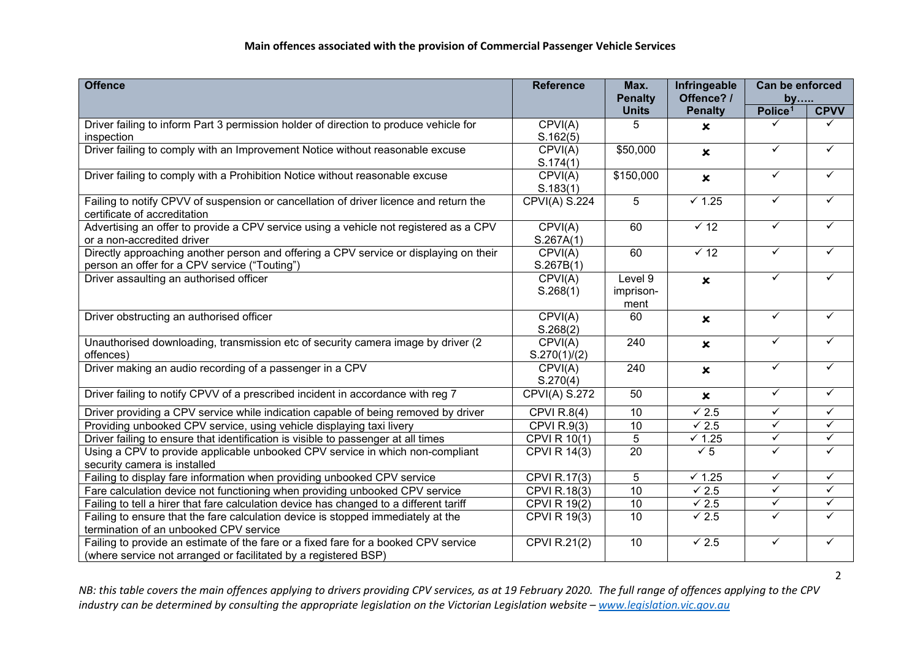## **Main offences associated with the provision of Commercial Passenger Vehicle Services**

| <b>Offence</b>                                                                                                                                         | <b>Reference</b>     | Max.              | Infringeable              | Can be enforced     |              |
|--------------------------------------------------------------------------------------------------------------------------------------------------------|----------------------|-------------------|---------------------------|---------------------|--------------|
|                                                                                                                                                        |                      | <b>Penalty</b>    | Offence? /                | by                  |              |
|                                                                                                                                                        |                      | <b>Units</b>      | <b>Penalty</b>            | Police <sup>1</sup> | <b>CPVV</b>  |
| Driver failing to inform Part 3 permission holder of direction to produce vehicle for                                                                  | CPVI(A)              | 5                 | $\boldsymbol{\mathsf{x}}$ |                     |              |
| inspection                                                                                                                                             | S.162(5)             |                   |                           | $\checkmark$        | $\checkmark$ |
| Driver failing to comply with an Improvement Notice without reasonable excuse                                                                          | CPVI(A)              | \$50,000          | $\boldsymbol{\mathsf{x}}$ |                     |              |
|                                                                                                                                                        | S.174(1)             |                   |                           | $\checkmark$        | $\checkmark$ |
| Driver failing to comply with a Prohibition Notice without reasonable excuse                                                                           | CPVI(A)              | \$150,000         | $\boldsymbol{\mathsf{x}}$ |                     |              |
|                                                                                                                                                        | S.183(1)             |                   |                           | ✓                   | $\checkmark$ |
| Failing to notify CPVV of suspension or cancellation of driver licence and return the                                                                  | CPVI(A) S.224        | 5                 | $\overline{V}$ 1.25       |                     |              |
| certificate of accreditation                                                                                                                           |                      | 60                | $\times$ 12               | ✓                   | $\checkmark$ |
| Advertising an offer to provide a CPV service using a vehicle not registered as a CPV                                                                  | CPVI(A)              |                   |                           |                     |              |
| or a non-accredited driver<br>Directly approaching another person and offering a CPV service or displaying on their                                    | S.267A(1)<br>CPVI(A) | 60                | $\overline{\smash{6}}$ 12 | ✓                   | ✓            |
|                                                                                                                                                        | S.267B(1)            |                   |                           |                     |              |
| person an offer for a CPV service ("Touting")<br>Driver assaulting an authorised officer                                                               | CPVI(A)              | Level 9           |                           | $\checkmark$        | ✓            |
|                                                                                                                                                        | S.268(1)             |                   | $\boldsymbol{\mathsf{x}}$ |                     |              |
|                                                                                                                                                        |                      | imprison-<br>ment |                           |                     |              |
| Driver obstructing an authorised officer                                                                                                               | CPVI(A)              | 60                |                           | $\checkmark$        | $\checkmark$ |
|                                                                                                                                                        | S.268(2)             |                   | $\pmb{\times}$            |                     |              |
| Unauthorised downloading, transmission etc of security camera image by driver (2                                                                       | CPVI(A)              | 240               | $\pmb{\times}$            | $\checkmark$        | $\checkmark$ |
| offences)                                                                                                                                              | S.270(1)/(2)         |                   |                           |                     |              |
| Driver making an audio recording of a passenger in a CPV                                                                                               | CPVI(A)              | 240               | $\boldsymbol{\mathsf{x}}$ | ✓                   | $\checkmark$ |
|                                                                                                                                                        | S.270(4)             |                   |                           |                     |              |
| Driver failing to notify CPVV of a prescribed incident in accordance with reg 7                                                                        | CPVI(A) S.272        | 50                | $\pmb{\times}$            | $\checkmark$        | $\checkmark$ |
| Driver providing a CPV service while indication capable of being removed by driver                                                                     | <b>CPVI R.8(4)</b>   | 10                | $\overline{\sqrt{2.5}}$   | $\sqrt{}$           | $\checkmark$ |
| Providing unbooked CPV service, using vehicle displaying taxi livery                                                                                   | CPVI $R.9(3)$        | 10                | $\overline{\sqrt{2.5}}$   | $\checkmark$        | $\checkmark$ |
| Driver failing to ensure that identification is visible to passenger at all times                                                                      | <b>CPVI R 10(1)</b>  | $\overline{5}$    | $\times$ 1.25             | $\checkmark$        | $\checkmark$ |
| Using a CPV to provide applicable unbooked CPV service in which non-compliant                                                                          | <b>CPVI R 14(3)</b>  | $\overline{20}$   | $\sqrt{5}$                | $\checkmark$        | $\checkmark$ |
| security camera is installed                                                                                                                           |                      |                   |                           |                     |              |
| Failing to display fare information when providing unbooked CPV service                                                                                | CPVI R.17(3)         | 5                 | $\times$ 1.25             | $\checkmark$        | $\checkmark$ |
| Fare calculation device not functioning when providing unbooked CPV service                                                                            | CPVI R.18(3)         | 10                | $\sqrt{2.5}$              | $\checkmark$        | $\checkmark$ |
| Failing to tell a hirer that fare calculation device has changed to a different tariff                                                                 | <b>CPVI R 19(2)</b>  | $\overline{10}$   | $\sqrt{2.5}$              | $\checkmark$        | $\checkmark$ |
| Failing to ensure that the fare calculation device is stopped immediately at the                                                                       | <b>CPVI R 19(3)</b>  | 10                | $\checkmark$ 2.5          | ✓                   | $\checkmark$ |
| termination of an unbooked CPV service                                                                                                                 |                      |                   |                           |                     |              |
| Failing to provide an estimate of the fare or a fixed fare for a booked CPV service<br>(where service not arranged or facilitated by a registered BSP) | <b>CPVI R.21(2)</b>  | 10                | $\sqrt{2.5}$              | ✓                   | ✓            |

*NB: this table covers the main offences applying to drivers providing CPV services, as at 19 February 2020. The full range of offences applying to the CPV industry can be determined by consulting the appropriate legislation on the Victorian Legislation website – [www.legislation.vic.gov.au](http://www.legislation.vic.gov.au/)*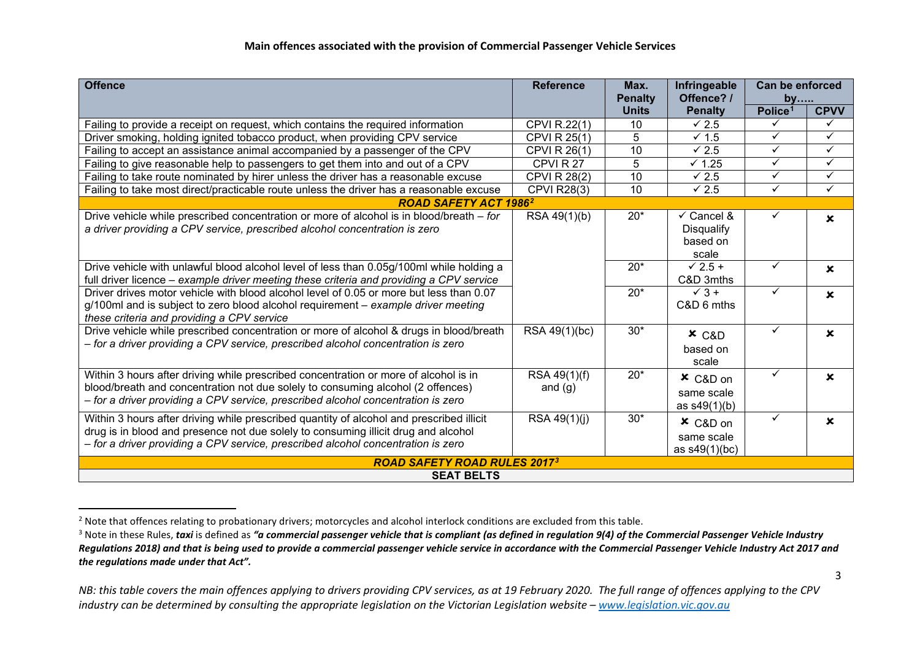<span id="page-2-1"></span><span id="page-2-0"></span>

| <b>Offence</b>                                                                                                                                                                                                                                                     | <b>Reference</b>          | Max.<br><b>Penalty</b> | Infringeable<br>Offence? /                                      | Can be enforced<br>by |                           |  |
|--------------------------------------------------------------------------------------------------------------------------------------------------------------------------------------------------------------------------------------------------------------------|---------------------------|------------------------|-----------------------------------------------------------------|-----------------------|---------------------------|--|
|                                                                                                                                                                                                                                                                    |                           | <b>Units</b>           | <b>Penalty</b>                                                  | Police <sup>1</sup>   | <b>CPVV</b>               |  |
| Failing to provide a receipt on request, which contains the required information                                                                                                                                                                                   | CPVI R.22(1)              | 10                     | $\times$ 2.5                                                    | ✓                     | ✓                         |  |
| Driver smoking, holding ignited tobacco product, when providing CPV service                                                                                                                                                                                        | <b>CPVI R 25(1)</b>       | 5                      | $\times$ 1.5                                                    | ✓                     | $\checkmark$              |  |
| Failing to accept an assistance animal accompanied by a passenger of the CPV                                                                                                                                                                                       | <b>CPVI R 26(1)</b>       | 10                     | $\times$ 2.5                                                    | ✓                     | $\checkmark$              |  |
| Failing to give reasonable help to passengers to get them into and out of a CPV                                                                                                                                                                                    | CPVIR <sub>27</sub>       | 5                      | $\times$ 1.25                                                   | ✓                     | $\checkmark$              |  |
| Failing to take route nominated by hirer unless the driver has a reasonable excuse                                                                                                                                                                                 | <b>CPVI R 28(2)</b>       | 10                     | $\times$ 2.5                                                    | ✓                     | ✓                         |  |
| Failing to take most direct/practicable route unless the driver has a reasonable excuse                                                                                                                                                                            | <b>CPVI R28(3)</b>        | 10                     | $\times$ 2.5                                                    | ✓                     | $\checkmark$              |  |
| <b>ROAD SAFETY ACT 19862</b>                                                                                                                                                                                                                                       |                           |                        |                                                                 |                       |                           |  |
| Drive vehicle while prescribed concentration or more of alcohol is in blood/breath - for<br>a driver providing a CPV service, prescribed alcohol concentration is zero                                                                                             | RSA 49(1)(b)              | $20*$                  | $\checkmark$ Cancel &<br><b>Disqualify</b><br>based on<br>scale | ✓                     | $\boldsymbol{\mathsf{x}}$ |  |
| Drive vehicle with unlawful blood alcohol level of less than 0.05g/100ml while holding a<br>full driver licence - example driver meeting these criteria and providing a CPV service                                                                                |                           | $20*$                  | $\times$ 2.5 +<br>C&D 3mths                                     | ✓                     | $\mathbf x$               |  |
| Driver drives motor vehicle with blood alcohol level of 0.05 or more but less than 0.07<br>g/100ml and is subject to zero blood alcohol requirement – example driver meeting<br>these criteria and providing a CPV service                                         |                           | $20*$                  | $\sqrt{3}$ +<br>C&D 6 mths                                      | ✓                     | $\mathbf x$               |  |
| Drive vehicle while prescribed concentration or more of alcohol & drugs in blood/breath<br>- for a driver providing a CPV service, prescribed alcohol concentration is zero                                                                                        | RSA 49(1)(bc)             | $30*$                  | $x$ C&D<br>based on<br>scale                                    | ✓                     | $\mathbf x$               |  |
| Within 3 hours after driving while prescribed concentration or more of alcohol is in<br>blood/breath and concentration not due solely to consuming alcohol (2 offences)<br>- for a driver providing a CPV service, prescribed alcohol concentration is zero        | RSA 49(1)(f)<br>and $(g)$ | $20*$                  | × C&D on<br>same scale<br>as $s49(1)(b)$                        | ✓                     | $\mathbf x$               |  |
| Within 3 hours after driving while prescribed quantity of alcohol and prescribed illicit<br>drug is in blood and presence not due solely to consuming illicit drug and alcohol<br>- for a driver providing a CPV service, prescribed alcohol concentration is zero | RSA 49(1)(j)              | $30*$                  | $x$ C&D on<br>same scale<br>as s49(1)(bc)                       | ✓                     | $\mathbf x$               |  |
| <b>ROAD SAFETY ROAD RULES 20173</b>                                                                                                                                                                                                                                |                           |                        |                                                                 |                       |                           |  |
| <b>SEAT BELTS</b>                                                                                                                                                                                                                                                  |                           |                        |                                                                 |                       |                           |  |

<sup>&</sup>lt;sup>2</sup> Note that offences relating to probationary drivers; motorcycles and alcohol interlock conditions are excluded from this table.<br><sup>3</sup> Note in these Rules, *taxi* is defined as "a commercial passenger vehicle that is comp *Regulations 2018) and that is being used to provide a commercial passenger vehicle service in accordance with the Commercial Passenger Vehicle Industry Act 2017 and the regulations made under that Act".*

*NB: this table covers the main offences applying to drivers providing CPV services, as at 19 February 2020. The full range of offences applying to the CPV industry can be determined by consulting the appropriate legislation on the Victorian Legislation website – [www.legislation.vic.gov.au](http://www.legislation.vic.gov.au/)*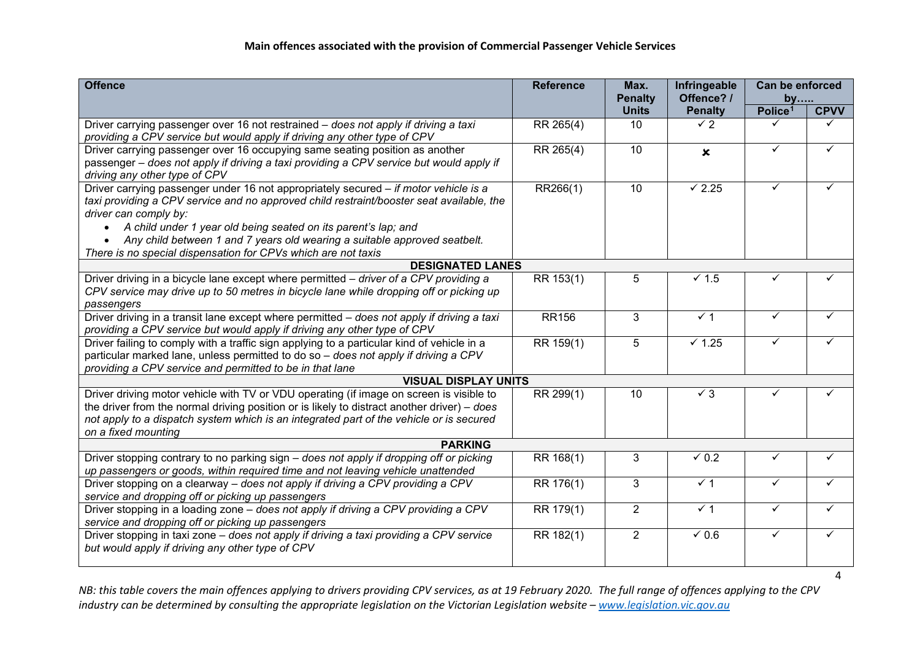| <b>Offence</b>                                                                                                                                                                                                                                                                                                                                                                                                            | <b>Reference</b> | Max.<br><b>Penalty</b> | Infringeable<br>Offence? / | Can be enforced<br>by |             |
|---------------------------------------------------------------------------------------------------------------------------------------------------------------------------------------------------------------------------------------------------------------------------------------------------------------------------------------------------------------------------------------------------------------------------|------------------|------------------------|----------------------------|-----------------------|-------------|
|                                                                                                                                                                                                                                                                                                                                                                                                                           |                  | <b>Units</b>           | <b>Penalty</b>             | Police <sup>1</sup>   | <b>CPVV</b> |
| Driver carrying passenger over 16 not restrained – does not apply if driving a taxi<br>providing a CPV service but would apply if driving any other type of CPV                                                                                                                                                                                                                                                           | RR 265(4)        | 10                     | $\checkmark$ 2             |                       |             |
| Driver carrying passenger over 16 occupying same seating position as another<br>passenger – does not apply if driving a taxi providing a CPV service but would apply if<br>driving any other type of CPV                                                                                                                                                                                                                  | RR 265(4)        | 10                     | $\boldsymbol{\mathsf{x}}$  | ✓                     |             |
| Driver carrying passenger under 16 not appropriately secured - if motor vehicle is a<br>taxi providing a CPV service and no approved child restraint/booster seat available, the<br>driver can comply by:<br>A child under 1 year old being seated on its parent's lap; and<br>Any child between 1 and 7 years old wearing a suitable approved seatbelt.<br>There is no special dispensation for CPVs which are not taxis | RR266(1)         | 10                     | $\checkmark$ 2.25          | ✓                     | ✓           |
| <b>DESIGNATED LANES</b>                                                                                                                                                                                                                                                                                                                                                                                                   |                  |                        |                            |                       |             |
| Driver driving in a bicycle lane except where permitted - driver of a CPV providing a<br>CPV service may drive up to 50 metres in bicycle lane while dropping off or picking up<br>passengers                                                                                                                                                                                                                             | RR 153(1)        | 5                      | $\sqrt{1.5}$               | ✓                     |             |
| Driver driving in a transit lane except where permitted - does not apply if driving a taxi<br>providing a CPV service but would apply if driving any other type of CPV                                                                                                                                                                                                                                                    | <b>RR156</b>     | 3                      | $\sqrt{1}$                 | $\checkmark$          |             |
| Driver failing to comply with a traffic sign applying to a particular kind of vehicle in a<br>particular marked lane, unless permitted to do so - does not apply if driving a CPV<br>providing a CPV service and permitted to be in that lane                                                                                                                                                                             | RR 159(1)        | 5                      | $\times$ 1.25              | ✓                     |             |
| <b>VISUAL DISPLAY UNITS</b>                                                                                                                                                                                                                                                                                                                                                                                               |                  |                        |                            |                       |             |
| Driver driving motor vehicle with TV or VDU operating (if image on screen is visible to<br>the driver from the normal driving position or is likely to distract another driver) $-$ does<br>not apply to a dispatch system which is an integrated part of the vehicle or is secured<br>on a fixed mounting                                                                                                                | RR 299(1)        | 10                     | $\checkmark$ 3             |                       |             |
| <b>PARKING</b>                                                                                                                                                                                                                                                                                                                                                                                                            |                  |                        |                            |                       |             |
| Driver stopping contrary to no parking sign – does not apply if dropping off or picking<br>up passengers or goods, within required time and not leaving vehicle unattended                                                                                                                                                                                                                                                | RR 168(1)        | 3                      | $\times$ 0.2               |                       |             |
| Driver stopping on a clearway - does not apply if driving a CPV providing a CPV<br>service and dropping off or picking up passengers                                                                                                                                                                                                                                                                                      | RR 176(1)        | 3                      | $\times$ 1                 | ✓                     |             |
| Driver stopping in a loading zone - does not apply if driving a CPV providing a CPV<br>service and dropping off or picking up passengers                                                                                                                                                                                                                                                                                  | RR 179(1)        | $\overline{2}$         | $\times$ 1                 | ✓                     | ✓           |
| Driver stopping in taxi zone - does not apply if driving a taxi providing a CPV service<br>but would apply if driving any other type of CPV                                                                                                                                                                                                                                                                               | RR 182(1)        | $\overline{2}$         | $\times$ 0.6               | ✓                     |             |

*NB: this table covers the main offences applying to drivers providing CPV services, as at 19 February 2020. The full range of offences applying to the CPV industry can be determined by consulting the appropriate legislation on the Victorian Legislation website – [www.legislation.vic.gov.au](http://www.legislation.vic.gov.au/)*